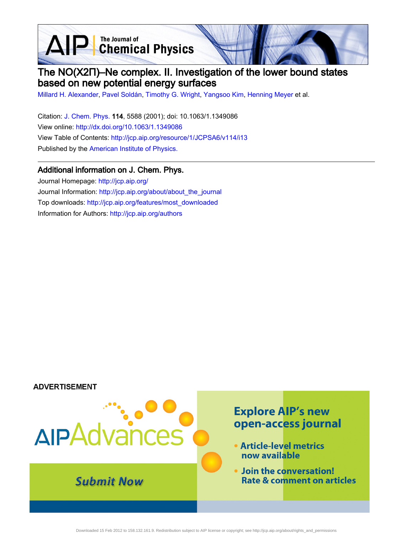AIP Chemical Physics

# The NO(X2Π)–Ne complex. II. Investigation of the lower bound states based on new potential energy surfaces

[Millard H. Alexander,](http://jcp.aip.org/search?sortby=newestdate&q=&searchzone=2&searchtype=searchin&faceted=faceted&key=AIP_ALL&possible1=Millard H. Alexander&possible1zone=author&alias=&displayid=AIP&ver=pdfcov) [Pavel Soldán](http://jcp.aip.org/search?sortby=newestdate&q=&searchzone=2&searchtype=searchin&faceted=faceted&key=AIP_ALL&possible1=Pavel Sold�n&possible1zone=author&alias=&displayid=AIP&ver=pdfcov), [Timothy G. Wright](http://jcp.aip.org/search?sortby=newestdate&q=&searchzone=2&searchtype=searchin&faceted=faceted&key=AIP_ALL&possible1=Timothy G. Wright&possible1zone=author&alias=&displayid=AIP&ver=pdfcov), [Yangsoo Kim](http://jcp.aip.org/search?sortby=newestdate&q=&searchzone=2&searchtype=searchin&faceted=faceted&key=AIP_ALL&possible1=Yangsoo Kim&possible1zone=author&alias=&displayid=AIP&ver=pdfcov), [Henning Meyer](http://jcp.aip.org/search?sortby=newestdate&q=&searchzone=2&searchtype=searchin&faceted=faceted&key=AIP_ALL&possible1=Henning Meyer&possible1zone=author&alias=&displayid=AIP&ver=pdfcov) et al.

Citation: [J. Chem. Phys. 1](http://jcp.aip.org/?ver=pdfcov)14, 5588 (2001); doi: 10.1063/1.1349086 View online: [http://dx.doi.org/10.1063/1.1349086](http://link.aip.org/link/doi/10.1063/1.1349086?ver=pdfcov) View Table of Contents: [http://jcp.aip.org/resource/1/JCPSA6/v114/i13](http://jcp.aip.org/resource/1/JCPSA6/v114/i13?ver=pdfcov) Published by the [American Institute of Physics.](http://www.aip.org/?ver=pdfcov)

### Additional information on J. Chem. Phys.

Journal Homepage: [http://jcp.aip.org/](http://jcp.aip.org/?ver=pdfcov) Journal Information: [http://jcp.aip.org/about/about\\_the\\_journal](http://jcp.aip.org/about/about_the_journal?ver=pdfcov) Top downloads: [http://jcp.aip.org/features/most\\_downloaded](http://jcp.aip.org/features/most_downloaded?ver=pdfcov) Information for Authors: [http://jcp.aip.org/authors](http://jcp.aip.org/authors?ver=pdfcov)

### **ADVERTISEMENT**

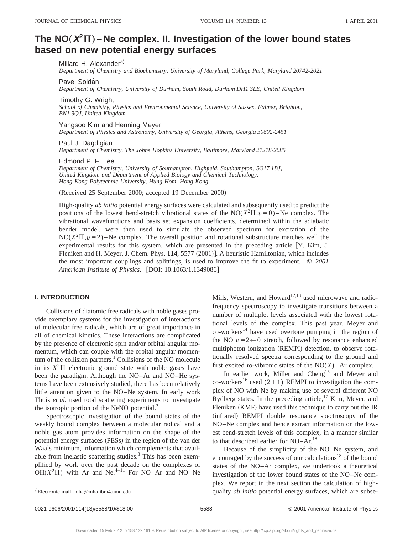## The  $NO(X^2\Pi)$  – Ne complex. II. Investigation of the lower bound states **based on new potential energy surfaces**

#### Millard H. Alexander<sup>a)</sup>

*Department of Chemistry and Biochemistry, University of Maryland, College Park, Maryland 20742-2021*

#### Pavel Soldán

*Department of Chemistry, University of Durham, South Road, Durham DH1 3LE, United Kingdom*

Timothy G. Wright

*School of Chemistry, Physics and Environmental Science, University of Sussex, Falmer, Brighton, BN1 9QJ, United Kingdom*

Yangsoo Kim and Henning Meyer *Department of Physics and Astronomy, University of Georgia, Athens, Georgia 30602-2451*

Paul J. Dagdigian *Department of Chemistry, The Johns Hopkins University, Baltimore, Maryland 21218-2685*

#### Edmond P. F. Lee

*Department of Chemistry, University of Southampton, Highfield, Southampton, SO17 1BJ, United Kingdom and Department of Applied Biology and Chemical Technology, Hong Kong Polytechnic University, Hung Hom, Hong Kong*

(Received 25 September 2000; accepted 19 December 2000)

High-quality *ab initio* potential energy surfaces were calculated and subsequently used to predict the positions of the lowest bend-stretch vibrational states of the  $NO(X^2\Pi, v=0)$ –Ne complex. The vibrational wavefunctions and basis set expansion coefficients, determined within the adiabatic bender model, were then used to simulate the observed spectrum for excitation of the  $NO(X<sup>2</sup>II, v=2)$ –Ne complex. The overall position and rotational substructure matches well the experimental results for this system, which are presented in the preceding article  $[Y.$  Kim, J. Fleniken and H. Meyer, J. Chem. Phys. 114, 5577 (2001)]. A heuristic Hamiltonian, which includes the most important couplings and splittings, is used to improve the fit to experiment. © *2001 American Institute of Physics.* [DOI: 10.1063/1.1349086]

#### **I. INTRODUCTION**

Collisions of diatomic free radicals with noble gases provide exemplary systems for the investigation of interactions of molecular free radicals, which are of great importance in all of chemical kinetics. These interactions are complicated by the presence of electronic spin and/or orbital angular momentum, which can couple with the orbital angular momentum of the collision partners.<sup>1</sup> Collisions of the NO molecule in its  $X^2\Pi$  electronic ground state with noble gases have been the paradigm. Although the NO–Ar and NO–He systems have been extensively studied, there has been relatively little attention given to the NO–Ne system. In early work Thuis *et al.* used total scattering experiments to investigate the isotropic portion of the NeNO potential.<sup>2</sup>

Spectroscopic investigation of the bound states of the weakly bound complex between a molecular radical and a noble gas atom provides information on the shape of the potential energy surfaces (PESs) in the region of the van der Waals minimum, information which complements that available from inelastic scattering studies. $3$  This has been exemplified by work over the past decade on the complexes of OH( $X^2\Pi$ ) with Ar and Ne.<sup>4–11</sup> For NO–Ar and NO–Ne

Mills, Western, and Howard<sup>12,13</sup> used microwave and radiofrequency spectroscopy to investigate transitions between a number of multiplet levels associated with the lowest rotational levels of the complex. This past year, Meyer and  $\rm{co\text{-}works}^{14}$  have used overtone pumping in the region of the NO  $v=2 \leftarrow 0$  stretch, followed by resonance enhanced multiphoton ionization (REMPI) detection, to observe rotationally resolved spectra corresponding to the ground and first excited ro-vibronic states of the  $NO(X)$  – Ar complex.

In earlier work, Miller and Cheng<sup>15</sup> and Meyer and co-workers<sup>16</sup> used  $(2+1)$  REMPI to investigation the complex of NO with Ne by making use of several different NO Rydberg states. In the preceding article, $17$  Kim, Meyer, and Fleniken (KMF) have used this technique to carry out the IR (infrared) REMPI double resonance spectroscopy of the NO–Ne complex and hence extract information on the lowest bend-stretch levels of this complex, in a manner similar to that described earlier for NO–Ar.<sup>18</sup>

Because of the simplicity of the NO–Ne system, and encouraged by the success of our calculations<sup>18</sup> of the bound states of the NO–Ar complex, we undertook a theoretical investigation of the lower bound states of the NO–Ne complex. We report in the next section the calculation of highquality *ab initio* potential energy surfaces, which are subse-

a)Electronic mail: mha@mha-ibm4.umd.edu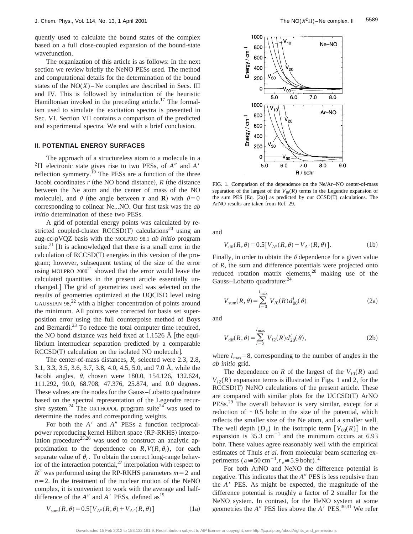quently used to calculate the bound states of the complex based on a full close-coupled expansion of the bound-state wavefunction.

The organization of this article is as follows: In the next section we review briefly the NeNO PESs used. The method and computational details for the determination of the bound states of the  $NO(X)$ – Ne complex are described in Secs. III and IV. This is followed by introduction of the heuristic Hamiltonian invoked in the preceding article.<sup>17</sup> The formalism used to simulate the excitation spectra is presented in Sec. VI. Section VII contains a comparison of the predicted and experimental spectra. We end with a brief conclusion.

#### **II. POTENTIAL ENERGY SURFACES**

The approach of a structureless atom to a molecule in a  ${}^{2}\Pi$  electronic state gives rise to two PESs, of *A<sup>n</sup>* and *A<sup>1</sup>* reflection symmetry.<sup> $19$ </sup> The PESs are a function of the three Jacobi coordinates  $r$  (the NO bond distance),  $R$  (the distance between the Ne atom and the center of mass of the NO molecule), and  $\theta$  (the angle between **r** and **R**) with  $\theta = 0$ corresponding to colinear Ne...NO. Our first task was the *ab initio* determination of these two PESs.

A grid of potential energy points was calculated by restricted coupled-cluster RCCSD(T) calculations<sup>20</sup> using an aug-cc-pVQZ basis with the MOLPRO 98.1 *ab initio* program suite.<sup>21</sup> It is acknowledged that there is a small error in the calculation of  $RCCSD(T)$  energies in this version of the program; however, subsequent testing of the size of the error using MOLPRO  $2000^{21}$  showed that the error would leave the calculated quantities in the present article essentially unchanged.] The grid of geometries used was selected on the results of geometries optimized at the UQCISD level using GAUSSIAN 98,<sup>22</sup> with a higher concentration of points around the minimum. All points were corrected for basis set superposition error using the full counterpoise method of Boys and Bernardi.23 To reduce the total computer time required, the NO bond distance was held fixed at  $1.1526 \text{ Å}$  [the equilibrium internuclear separation predicted by a comparable  $RCCSD(T)$  calculation on the isolated NO molecule.

The center-of-mass distances, *R*, selected were 2.3, 2.8, 3.1, 3.3, 3.5, 3.6, 3.7, 3.8, 4.0, 4.5, 5.0, and 7.0 Å, while the Jacobi angles,  $\theta$ , chosen were 180.0, 154.126, 132.624, 111.292, 90.0, 68.708, 47.376, 25.874, and 0.0 degrees. These values are the nodes for the Gauss–Lobatto quadrature based on the spectral representation of the Legendre recursive system.<sup>24</sup> The ORTHOPOL program suite<sup>24</sup> was used to determine the nodes and corresponding weights.

For both the *A'* and *A*<sup>*n*</sup> PESs a function reciprocalpower reproducing kernel Hilbert space (RP-RKHS) interpolation procedure $^{25,26}$  was used to construct an analytic approximation to the dependence on  $R$ ,  $V(R, \theta_i)$ , for each separate value of  $\theta_i$ . To obtain the correct long-range behavior of the interaction potential, $2<sup>7</sup>$  interpolation with respect to  $R^2$  was performed using the RP-RKHS parameters  $m=2$  and  $n=2$ . In the treatment of the nuclear motion of the NeNO complex, it is convenient to work with the average and halfdifference of the  $A''$  and  $A'$  PESs, defined as<sup>19</sup>



FIG. 1. Comparison of the dependence on the Ne/Ar–NO center-of-mass separation of the largest of the  $V_{10}(R)$  terms in the Legendre expansion of the sum PES  $[Eq. (2a)]$  as predicted by our  $CCSD(T)$  calculations. The ArNO results are taken from Ref. 29.

and

$$
V_{\text{dif}}(R,\theta) = 0.5[V_{A''}(R,\theta) - V_{A'}(R,\theta)].
$$
 (1b)

Finally, in order to obtain the  $\theta$  dependence for a given value of *R*, the sum and difference potentials were projected onto reduced rotation matrix elements, $28$  making use of the Gauss–Lobatto quadrature:24

$$
V_{\text{sum}}(R,\theta) = \sum_{l=0}^{l_{\text{max}}} V_{l0}(R) d_{00}^l(\theta)
$$
 (2a)

and

$$
V_{\text{dif}}(R,\theta) = \sum_{l=2}^{l_{\text{max}}} V_{l2}(R) d_{20}^{l}(\theta), \qquad (2b)
$$

where  $l_{\text{max}}=8$ , corresponding to the number of angles in the *ab initio* grid.

The dependence on *R* of the largest of the  $V_{10}(R)$  and  $V_{12}(R)$  expansion terms is illustrated in Figs. 1 and 2, for the  $RCCSD(T)$  NeNO calculations of the present article. These are compared with similar plots for the  $UCCSD(T)$  ArNO PESs.<sup>29</sup> The overall behavior is very similar, except for a reduction of  $\sim 0.5$  bohr in the size of the potential, which reflects the smaller size of the Ne atom, and a smaller well. The well depth  $(D_e)$  in the isotropic term  $[V_{00}(R)]$  in the expansion is  $35.3 \text{ cm}^{-1}$  and the minimum occurs at 6.93 bohr. These values agree reasonably well with the empirical estimates of Thuis *et al.* from molecular beam scattering experiments  $\left(\varepsilon \cong 50 \,\mathrm{cm}^{-1}, r_e \cong 5.9 \,\mathrm{bohr}\right)^2$ 

For both ArNO and NeNO the difference potential is negative. This indicates that the *A*<sup>*n*</sup> PES is less repulsive than the *A*<sup> $\prime$ </sup> PES. As might be expected, the magnitude of the difference potential is roughly a factor of 2 smaller for the NeNO system. In contrast, for the HeNO system at some geometries the  $A''$  PES lies above the  $A'$  PES.<sup>30,31</sup> We refer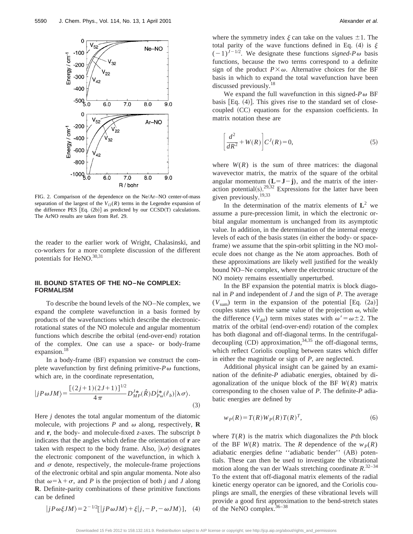

FIG. 2. Comparison of the dependence on the Ne/Ar–NO center-of-mass separation of the largest of the  $V_{12}(R)$  terms in the Legendre expansion of the difference PES  $[Eq. (2b)]$  as predicted by our CCSD(T) calculations. The ArNO results are taken from Ref. 29.

the reader to the earlier work of Wright, Chalasinski, and co-workers for a more complete discussion of the different potentials for HeNO.<sup>30,31</sup>

#### **III. BOUND STATES OF THE NO–Ne COMPLEX: FORMALISM**

To describe the bound levels of the NO–Ne complex, we expand the complete wavefunction in a basis formed by products of the wavefunctions which describe the electronicrotational states of the NO molecule and angular momentum functions which describe the orbital (end-over-end) rotation of the complex. One can use a space- or body-frame expansion.<sup>18</sup>

In a body-frame (BF) expansion we construct the complete wavefunction by first defining primitive- $P\omega$  functions, which are, in the coordinate representation,

$$
|jP\omega JM\rangle = \frac{[(2j+1)(2J+1)]^{1/2}}{4\pi} D_{MP}^{J*}(\hat{R}) D_{P\omega}^{j*}(\hat{r}_b) |\lambda \sigma \rangle.
$$
\n(3)

Here *j* denotes the total angular momentum of the diatomic molecule, with projections  $P$  and  $\omega$  along, respectively, **R** and **r**, the body- and molecule-fixed *z*-axes. The subscript *b* indicates that the angles which define the orientation of **r** are taken with respect to the body frame. Also,  $|\lambda \sigma \rangle$  designates the electronic component of the wavefunction, in which  $\lambda$ and  $\sigma$  denote, respectively, the molecule-frame projections of the electronic orbital and spin angular momenta. Note also that  $\omega = \lambda + \sigma$ , and *P* is the projection of both *j* and *J* along **R**. Definite-parity combinations of these primitive functions can be defined

where the symmetry index  $\xi$  can take on the values  $\pm 1$ . The total parity of the wave functions defined in Eq. (4) is  $\xi$  $(-1)^{J-1/2}$ . We designate these functions *signed-P* $\omega$  basis functions, because the two terms correspond to a definite sign of the product  $P\times\omega$ . Alternative choices for the BF basis in which to expand the total wavefunction have been discussed previously.<sup>18</sup>

We expand the full wavefunction in this signed- $P\omega$  BF basis  $[Eq. (4)]$ . This gives rise to the standard set of closecoupled (CC) equations for the expansion coefficients. In matrix notation these are

$$
\left[\frac{d^2}{dR^2} + W(R)\right] C^J(R) = 0,\tag{5}
$$

where  $W(R)$  is the sum of three matrices: the diagonal wavevector matrix, the matrix of the square of the orbital angular momentum  $(L=J-j)$ , and the matrix of the interaction potential(s).<sup>29,32</sup> Expressions for the latter have been given previously.19,33

In the determination of the matrix elements of  $L^2$  we assume a pure-precession limit, in which the electronic orbital angular momentum is unchanged from its asymptotic value. In addition, in the determination of the internal energy levels of each of the basis states (in either the body- or spaceframe) we assume that the spin-orbit splitting in the NO molecule does not change as the Ne atom approaches. Both of these approximations are likely well justified for the weakly bound NO–Ne complex, where the electronic structure of the NO moiety remains essentially unperturbed.

In the BF expansion the potential matrix is block diagonal in *P* and independent of *J* and the sign of *P*. The average  $(V_{sum})$  term in the expansion of the potential [Eq.  $(2a)$ ] couples states with the same value of the projection  $\omega$ , while the difference ( $V_{\text{dif}}$ ) term mixes states with  $\omega' = \omega \pm 2$ . The matrix of the orbital (end-over-end) rotation of the complex has both diagonal and off-diagonal terms. In the centrifugaldecoupling  $(CD)$  approximation,<sup>34,35</sup> the off-diagonal terms, which reflect Coriolis coupling between states which differ in either the magnitude or sign of *P*, are neglected.

Additional physical insight can be gained by an examination of the definite-*P* adiabatic energies, obtained by diagonalization of the unique block of the BF *W*(*R*) matrix corresponding to the chosen value of *P*. The definite-*P* adiabatic energies are defined by

$$
w_P(R) = T(R)W_P(R)T(R)^T,
$$
\n(6)

where  $T(R)$  is the matrix which diagonalizes the *P*th block of the BF  $W(R)$  matrix. The *R* dependence of the  $w_P(R)$ adiabatic energies define "adiabatic bender" (AB) potentials. These can then be used to investigate the vibrational motion along the van der Waals stretching coordinate *R*. 32–34 To the extent that off-diagonal matrix elements of the radial kinetic energy operator can be ignored, and the Coriolis couplings are small, the energies of these vibrational levels will provide a good first approximation to the bend-stretch states of the NeNO complex.<sup>36-38</sup>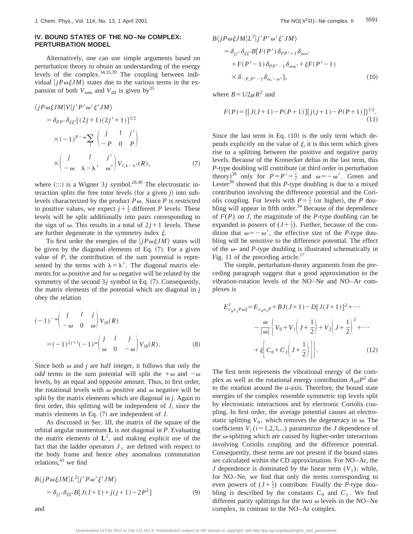#### **IV. BOUND STATES OF THE NO–Ne COMPLEX: PERTURBATION MODEL**

Alternatively, one can use simple arguments based on perturbation theory to obtain an understanding of the energy levels of the complex.  $34,35,39$  The coupling between individual  $|jP\omega\xi JM\rangle$  states due to the various terms in the expansion of both  $V_{\text{sum}}$  and  $V_{\text{diff}}$  is given by<sup>35</sup>

$$
\langle jP\omega\xi JM|V|j'P'\omega'\xi'JM\rangle
$$
  
=  $\delta_{PP'}\delta_{\xi\xi'}[(2j+1)(2j'+1)]^{1/2}$   

$$
\times(-1)^{P-\omega}\sum_{l}\begin{pmatrix}j&l&j'\\-P&0&P\end{pmatrix}
$$
  

$$
\times\begin{pmatrix}j&l&j'\\-\omega&\lambda-\lambda'&\omega'\end{pmatrix}V_{l,\lambda-\lambda'}(R),
$$
 (7)

where  $(:::)$  is a Wigner 3*j* symbol.<sup>28,40</sup> The electrostatic interaction splits the free rotor levels (for a given  $j$ ) into sublevels characterized by the product  $P\omega$ . Since *P* is restricted to positive values, we expect  $j + \frac{1}{2}$  different *P* levels. These levels will be split additionally into pairs corresponding to the sign of  $\omega$ . This results in a total of  $2j+1$  levels. These are further degenerate in the symmetry index  $\xi$ .

To first order the energies of the  $|jP\omega \xi JM\rangle$  states will be given by the diagonal elements of Eq.  $(7)$ . For a given value of *P*, the contribution of the sum potential is represented by the terms with  $\lambda = \lambda'$ . The diagonal matrix elements for  $\omega$  positive and for  $\omega$  negative will be related by the symmetry of the second  $3j$  symbol in Eq.  $(7)$ . Consequently, the matrix elements of the potential which are diagonal in *j* obey the relation

$$
(-1)^{-\omega} \begin{pmatrix} j & l & j \\ -\omega & 0 & \omega \end{pmatrix} V_{l0}(R)
$$
  
=  $(-1)^{2j+l}(-1)^{\omega} \begin{pmatrix} j & l & j \\ \omega & 0 & -\omega \end{pmatrix} V_{l0}(R).$  (8)

Since both  $\omega$  and *j* are half integer, it follows that only the *odd* terms in the sum potential will split the  $+\omega$  and  $-\omega$ levels, by an equal and opposite amount. Thus, to first order, the rotational levels with  $\omega$  positive and  $\omega$  negative will be split by the matrix elements which are diagonal in *j*. Again to first order, this splitting will be independent of *J*, since the matrix elements in Eq.  $(7)$  are independent of *J*.

As discussed in Sec. III, the matrix of the square of the orbital angular momentum **L** is not diagonal in *P*. Evaluating the matrix elements of  $L^2$ , and making explicit use of the fact that the ladder operators  $J_{+}$  are defined with respect to the body frame and hence obey anomalous commutation relations, $41$  we find

$$
B\langle jP\omega\xi JM|L^2|j'P\omega'\xi'JM\rangle
$$
  
=  $\delta_{jj'}\delta_{\xi\xi'}B[J(J+1)+j(j+1)-2P^2]$  (9)

$$
B\langle jP\omega\xi JM|L^2|j'P'\omega'\xi'JM\rangle
$$
  
=  $\delta_{jj'}\delta_{\xi\xi'}B[F(P')\delta_{PP'+1}\delta_{\omega\omega'}$   
+  $F(P'-1)\delta_{PP'-1}\delta_{\omega\omega'}+\xi F(P'-1)$   
 $\times \delta_{-P,P'-1}\delta_{\omega,-\omega'}],$  (10)

where  $B=1/2\mu R^2$  and

$$
F(P) = \{ [J(J+1) - P(P+1)][j(j+1) - P(P+1)] \}^{1/2}.
$$
\n(11)

Since the last term in Eq.  $(10)$  is the only term which depends explicitly on the value of  $\xi$ , it is this term which gives rise to a splitting between the positive and negative parity levels. Because of the Kronecker deltas in the last term, this *P*-type doubling will contribute (at third order in perturbation theory)<sup>39</sup> only for  $P = P' = \frac{1}{2}$  and  $\omega = -\omega'$ . Green and Lester<sup>39</sup> showed that this  $P$ -type doubling is due to a mixed contribution involving the difference potential and the Coriolis coupling. For levels with  $P = \frac{3}{2}$  (or higher), the *P* doubling will appear in fifth order.<sup>34</sup> Because of the dependence of *F*(*P*) on *J*, the magnitude of the *P*-type doubling can be expanded in powers of  $(J + \frac{1}{2})$ . Further, because of the condition that  $\omega = -\omega'$ , the effective size of the *P*-type doubling will be sensitive to the difference potential. The effect of the  $\omega$ - and *P*-type doubling is illustrated schematically in Fig. 11 of the preceding article.<sup>17</sup>

The simple, perturbation-theory arguments from the preceding paragraph suggest that a good approximation to the vibration-rotation levels of the NO–Ne and NO–Ar complexes is

$$
E_{v_b v_s P \omega \xi}^J = E_{v_b v_s P} + B J(J+1) - D[J(J+1)]^2 + \cdots
$$
  

$$
- \frac{\omega}{|\omega|} \left\{ V_0 + V_1 \left( J + \frac{1}{2} \right) + V_2 \left( J + \frac{1}{2} \right)^2 + \cdots
$$
  

$$
+ \xi \left[ C_0 + C_1 \left( J + \frac{1}{2} \right) \right] \right\}.
$$
 (12)

The first term represents the vibrational energy of the complex as well as the rotational energy contribution  $A_{\text{eff}}P^2$  due to the rotation around the *a*-axis. Therefore, the bound state energies of the complex resemble symmetric top levels split by electrostatic interactions and by electronic Coriolis coupling. In first order, the average potential causes an electrostatic splitting  $V_0$ , which removes the degeneracy in  $\omega$ . The coefficients  $V_i$  ( $i=1,2,3,...$ ) parametrize the *J* dependence of the  $\omega$ -splitting which are caused by higher-order interactions involving Coriolis coupling and the difference potential. Consequently, these terms are not present if the bound states are calculated within the CD approximation. For NO–Ar, the *J* dependence is dominated by the linear term  $(V_1)$ , while, for NO–Ne, we find that only the terms corresponding to even powers of  $(J + \frac{1}{2})$  contribute. Finally the *P*-type doubling is described by the constants  $C_0$  and  $C_1$ . We find different parity splittings for the two  $\omega$  levels in the NO–Ne complex, in contrast to the NO–Ar complex.

and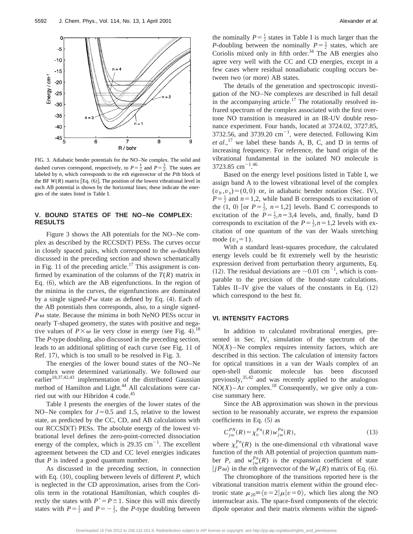

FIG. 3. Adiabatic bender potentials for the NO–Ne complex. The solid and dashed curves correspond, respectively, to  $P = \frac{1}{2}$  and  $P = \frac{3}{2}$ . The states are labeled by *n*, which corresponds to the *n*th eigenvector of the *P*th block of the BF  $W(R)$  matrix [Eq. (6)]. The position of the lowest vibrational level in each AB potential is shown by the horizontal lines; these indicate the energies of the states listed in Table I.

#### **V. BOUND STATES OF THE NO–Ne COMPLEX: RESULTS**

Figure 3 shows the AB potentials for the NO–Ne complex as described by the  $RCCSD(T)$  PESs. The curves occur in closely spaced pairs, which correspond to the  $\omega$ -doublets discussed in the preceding section and shown schematically in Fig. 11 of the preceding article.<sup>17</sup> This assignment is confirmed by examination of the columns of the  $T(R)$  matrix in Eq.  $(6)$ , which are the AB eigenfunctions. In the region of the minima in the curves, the eigenfunctions are dominated by a single signed- $P\omega$  state as defined by Eq. (4). Each of the AB potentials then corresponds, also, to a single signed- $P\omega$  state. Because the minima in both NeNO PESs occur in nearly T-shaped geometry, the states with positive and negative values of  $P \times \omega$  lie very close in energy (see Fig. 4).<sup>18</sup> The *P*-type doubling, also discussed in the preceding section, leads to an additional splitting of each curve (see Fig. 11 of Ref. 17), which is too small to be resolved in Fig. 3.

The energies of the lower bound states of the NO–Ne complex were determined variationally. We followed our earlier<sup>18,37,42,43</sup> implementation of the distributed Gaussian method of Hamilton and Light.<sup>44</sup> All calculations were carried out with our Hibridon 4 code.<sup>45</sup>

Table I presents the energies of the lower states of the NO–Ne complex for  $J=0.5$  and 1.5, relative to the lowest state, as predicted by the CC, CD, and AB calculations with our  $\text{RCCSD}(T)$  PESs. The absolute energy of the lowest vibrational level defines the zero-point-corrected dissociation energy of the complex, which is  $29.35 \text{ cm}^{-1}$ . The excellent agreement between the CD and CC level energies indicates that *P* is indeed a good quantum number.

As discussed in the preceding section, in connection with Eq.  $(10)$ , coupling between levels of different *P*, which is neglected in the CD approximation, arises from the Coriolis term in the rotational Hamiltonian, which couples directly the states with  $P' = P \pm 1$ . Since this will mix directly states with  $P = \frac{1}{2}$  and  $P = -\frac{1}{2}$ , the *P*-type doubling between

the nominally  $P = \frac{1}{2}$  states in Table I is much larger than the *P*-doubling between the nominally  $P = \frac{3}{2}$  states, which are Coriolis mixed only in fifth order.<sup>34</sup> The AB energies also agree very well with the CC and CD energies, except in a few cases where residual nonadiabatic coupling occurs between two (or more) AB states.

The details of the generation and spectroscopic investigation of the NO–Ne complexes are described in full detail in the accompanying article.<sup>17</sup> The rotationally resolved infrared spectrum of the complex associated with the first overtone NO transition is measured in an IR-UV double resonance experiment. Four bands, located at 3724.02, 3727.85, 3732.56, and 3739.20  $\text{cm}^{-1}$ , were detected. Following Kim *et al.*,<sup>17</sup> we label these bands A, B, C, and D in terms of increasing frequency. For reference, the band origin of the vibrational fundamental in the isolated NO molecule is 3723.85 cm<sup>-1.46</sup>

Based on the energy level positions listed in Table I, we assign band A to the lowest vibrational level of the complex  $(v_b, v_s) = (0, 0)$  or, in adiabatic bender notation (Sec. IV),  $P = \frac{1}{2}$  and  $n = 1,2$ , while band B corresponds to excitation of the  $(1, 0)$  [or  $P = \frac{3}{2}$ ,  $n = 1,2$ ] levels. Band C corresponds to excitation of the  $P = \frac{1}{2}$ ,  $n = 3,4$  levels, and, finally, band D corresponds to excitation of the  $P = \frac{1}{2}$ ,  $n = 1,2$  levels with excitation of one quantum of the van der Waals stretching mode  $(v_s=1)$ .

With a standard least-squares procedure, the calculated energy levels could be fit extremely well by the heuristic expression derived from perturbation theory arguments, Eq. (12). The residual deviations are  $\sim 0.01 \text{ cm}^{-1}$ , which is comparable to the precision of the bound-state calculations. Tables II–IV give the values of the constants in Eq.  $(12)$ which correspond to the best fit.

#### **VI. INTENSITY FACTORS**

In addition to calculated rovibrational energies, presented in Sec. IV, simulation of the spectrum of the  $NO(X)$  – Ne complex requires intensity factors, which are described in this section. The calculation of intensity factors for optical transitions in a van der Waals complex of an open-shell diatomic molecule has been discussed previously,35,42 and was recently applied to the analogous  $NO(X)$ – Ar complex.<sup>18</sup> Consequently, we give only a concise summary here.

Since the AB approximation was shown in the previous section to be reasonably accurate, we express the expansion coefficients in Eq.  $(5)$  as

$$
C_{j\omega}^{PN}(R) = \chi_v^{Pn}(R) w_{j\omega}^{Pn}(R),\tag{13}
$$

where  $\chi_v^{P_n}(R)$  is the one-dimensional *v*th vibrational wave function of the *n*th AB potential of projection quantum number *P*, and  $w_{j\omega}^{P_n}(R)$  is the expansion coefficient of state  $\langle jP\omega \rangle$  in the *n*th eigenvector of the  $W_p(R)$  matrix of Eq. (6).

The chromophore of the transitions reported here is the vibrational transition matrix element within the ground electronic state  $\mu_{20} = \langle v = 2 | \mu | v = 0 \rangle$ , which lies along the NO internuclear axis. The space-fixed components of the electric dipole operator and their matrix elements within the signed-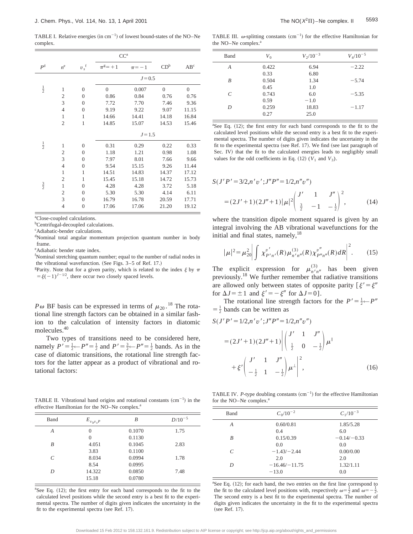TABLE I. Relative energies (in  $cm^{-1}$ ) of lowest bound-states of the NO–Ne complex.

|                |                |                    | CC <sup>a</sup>  |            |                  |                  |
|----------------|----------------|--------------------|------------------|------------|------------------|------------------|
| P <sup>d</sup> | $n^e$          | $v_s$ <sup>f</sup> | $\pi^g=+1$       | $\pi = -1$ | CD <sup>b</sup>  | AB <sup>c</sup>  |
|                |                |                    |                  | $J = 0.5$  |                  |                  |
| $\frac{1}{2}$  | $\mathbf{1}$   | $\overline{0}$     | $\boldsymbol{0}$ | 0.007      | $\boldsymbol{0}$ | $\boldsymbol{0}$ |
|                | $\overline{c}$ | $\overline{0}$     | 0.86             | 0.84       | 0.76             | 0.76             |
|                | 3              | $\overline{0}$     | 7.72             | 7.70       | 7.46             | 9.36             |
|                | $\overline{4}$ | $\overline{0}$     | 9.19             | 9.22       | 9.07             | 11.15            |
|                | $\mathbf{1}$   | $\mathbf{1}$       | 14.66            | 14.41      | 14.18            | 16.84            |
|                | $\overline{c}$ | $\mathbf{1}$       | 14.85            | 15.07      | 14.53            | 15.46            |
|                |                |                    |                  | $J = 1.5$  |                  |                  |
| $\frac{1}{2}$  | $\mathbf{1}$   | $\overline{0}$     | 0.31             | 0.29       | 0.22             | 0.33             |
|                | $\mathfrak{2}$ | $\theta$           | 1.18             | 1.21       | 0.98             | 1.08             |
|                | 3              | $\overline{0}$     | 7.97             | 8.01       | 7.66             | 9.66             |
|                | $\overline{4}$ | $\overline{0}$     | 9.54             | 15.15      | 9.26             | 11.44            |
|                | $\mathbf{1}$   | $\mathbf{1}$       | 14.51            | 14.83      | 14.37            | 17.12            |
|                | $\overline{c}$ | $\mathbf{1}$       | 15.45            | 15.18      | 14.72            | 15.73            |
| $rac{3}{2}$    | $\mathbf{1}$   | $\theta$           | 4.28             | 4.28       | 3.72             | 5.18             |
|                | $\mathfrak{2}$ | $\theta$           | 5.30             | 5.30       | 4.14             | 6.11             |
|                | 3              | $\theta$           | 16.79            | 16.78      | 20.59            | 17.71            |
|                | $\overline{4}$ | $\overline{0}$     | 17.06            | 17.06      | 21.20            | 19.12            |

a Close-coupled calculations.

<sup>b</sup>Centrifugal-decoupled calculations.

c Adiabatic-bender calculations.

<sup>d</sup>Nominal total angular momentum projection quantum number in body frame.

e Adiabatic bender state index.

<sup>f</sup>Nominal stretching quantum number; equal to the number of radial nodes in the vibrational wavefunction. (See Figs.  $3-5$  of Ref. 17.)

<sup>g</sup>Parity. Note that for a given parity, which is related to the index  $\xi$  by  $\pi$  $=\xi(-1)^{J-1/2}$ , there occur two closely spaced levels.

*P* $\omega$  BF basis can be expressed in terms of  $\mu_{20}$ .<sup>18</sup> The rotational line strength factors can be obtained in a similar fashion to the calculation of intensity factors in diatomic molecules.40

Two types of transitions need to be considered here, namely  $P' = \frac{1}{2} \leftarrow P'' = \frac{1}{2}$  and  $P' = \frac{3}{2} \leftarrow P'' = \frac{1}{2}$  bands. As in the case of diatomic transitions, the rotational line strength factors for the latter appear as a product of vibrational and rotational factors:

TABLE II. Vibrational band origins and rotational constants  $(cm<sup>-1</sup>)$  in the effective Hamiltonian for the NO–Ne complex.<sup>a</sup>

| Band | $E_{v_b v_s P}$ | B      | $D/10^{-5}$ |
|------|-----------------|--------|-------------|
| A    | $\theta$        | 0.1070 | 1.75        |
|      | $\Omega$        | 0.1130 |             |
| B    | 4.051           | 0.1045 | 2.83        |
|      | 3.83            | 0.1100 |             |
| C    | 8.034           | 0.0994 | 1.78        |
|      | 8.54            | 0.0995 |             |
| D    | 14.322          | 0.0850 | 7.48        |
|      | 15.18           | 0.0780 |             |

<sup>a</sup>See Eq. (12); the first entry for each band corresponds to the fit to the calculated level positions while the second entry is a best fit to the experimental spectra. The number of digits given indicates the uncertainty in the fit to the experimental spectra (see Ref.  $17$ ).

TABLE III.  $\omega$ -splitting constants (cm<sup>-1</sup>) for the effective Hamiltonian for the NO–Ne complex.<sup>a</sup>

| Band | $V_0$ | $V_2/10^{-3}$ | $V_4/10^{-5}$ |
|------|-------|---------------|---------------|
| A    | 0.422 | 6.94          | $-2.22$       |
|      | 0.33  | 6.80          |               |
| B    | 0.504 | 1.34          | $-5.74$       |
|      | 0.45  | 1.0           |               |
| C    | 0.743 | 6.0           | $-5.35$       |
|      | 0.59  | $-1.0$        |               |
| D    | 0.259 | 18.83         | $-1.17$       |
|      | 0.27  | 25.0          |               |

<sup>a</sup>See Eq. (12); the first entry for each band corresponds to the fit to the calculated level positions while the second entry is a best fit to the experimental spectra. The number of digits given indicates the uncertainty in the fit to the experimental spectra (see Ref. 17). We find (see last paragraph of Sec. IV) that the fit to the calculated energies leads to negligibly small values for the odd coefficients in Eq.  $(12)$   $(V_1$  and  $V_3)$ .

$$
S(J'P' = 3/2, n'v'; J''P'' = 1/2, n''v'')
$$
  
=  $(2J' + 1)(2J'' + 1)|\mu|^2 \left(\frac{J'}{\frac{3}{2}} - 1 - \frac{1}{2}\right)^2,$  (14)

where the transition dipole moment squared is given by an integral involving the AB vibrational wavefunctions for the initial and final states, namely, $18$ 

$$
|\mu|^2 = \mu_{20}^2 \left| \int \chi_{P'n'}^{v'}(R) \mu_{n'n''}^{(3)}(R) \chi_{P''n''}^{v''}(R) dR \right|^2.
$$
 (15)

The explicit expression for  $\mu_{n'n''}^{(3)}$  has been given previously.18 We further remember that radiative transitions are allowed only between states of opposite parity  $\lbrack \xi' = \xi'' \rbrack$ for  $\Delta J = \pm 1$  and  $\xi' = -\xi''$  for  $\Delta J = 0$ ].

The rotational line strength factors for the  $P' = \frac{1}{2} \leftarrow P''$  $=$   $\frac{1}{2}$  bands can be written as

$$
S(J'P'=1/2,n'v';J''P''=1/2,n''v'')
$$
  
=  $(2J'+1)(2J''+1)\left|\begin{pmatrix}J' & 1 & J'' \\ \frac{1}{2} & 0 & -\frac{1}{2}\end{pmatrix}\mu^{\parallel}$   
+  $\xi'\left(\begin{pmatrix}J' & 1 & J'' \\ -\frac{1}{2} & 1 & -\frac{1}{2}\end{pmatrix}\mu^{\perp}\right)^2$ , (16)

TABLE IV. *P*-type doubling constants  $(cm<sup>-1</sup>)$  for the effective Hamiltonian for the NO–Ne complex.<sup>a</sup>

| Band | $C_0/10^{-2}$   | $C_1/10^{-3}$ |
|------|-----------------|---------------|
| A    | 0.60/0.81       | 1.85/5.28     |
|      | 0.4             | 6.0           |
| B    | 0.15/0.39       | $-0.14/-0.33$ |
|      | 0.0             | 0.0           |
| C    | $-1.43/-2.44$   | 0.00/0.00     |
|      | 2.0             | 2.0           |
| D    | $-16.46/-11.75$ | 1.32/1.11     |
|      | $-13.0$         | 0.0           |

 ${}^{a}$ See Eq. (12); for each band, the two entries on the first line correspond to the fit to the calculated level positions with, respectively  $\omega = \frac{1}{2}$  and  $\omega = -\frac{1}{2}$ . The second entry is a best fit to the experimental spectra. The number of digits given indicates the uncertainty in the fit to the experimental spectra (see Ref. 17).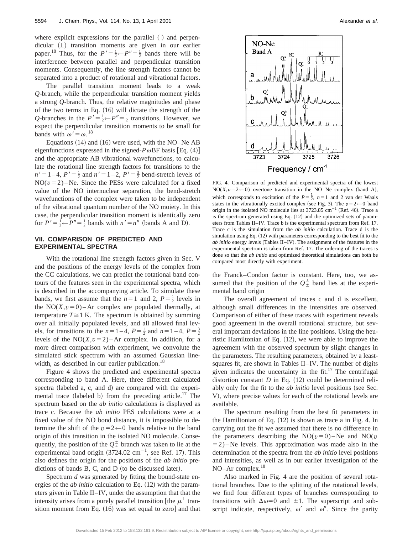where explicit expressions for the parallel  $(\parallel)$  and perpendicular  $( \perp )$  transition moments are given in our earlier paper.<sup>18</sup> Thus, for the  $P' = \frac{1}{2} \leftarrow P'' = \frac{1}{2}$  bands there will be interference between parallel and perpendicular transition moments. Consequently, the line strength factors cannot be separated into a product of rotational and vibrational factors.

The parallel transition moment leads to a weak *Q*-branch, while the perpendicular transition moment yields a strong *Q*-branch. Thus, the relative magnitudes and phase of the two terms in Eq.  $(16)$  will dictate the strength of the *Q*-branches in the  $P' = \frac{1}{2} \leftarrow P'' = \frac{1}{2}$  transitions. However, we expect the perpendicular transition moments to be small for bands with  $\omega' = \omega$ .<sup>18</sup>

Equations  $(14)$  and  $(16)$  were used, with the NO–Ne AB eigenfunctions expressed in the signed- $P\omega$ BF basis [Eq. (4)] and the appropriate AB vibrational wavefunctions, to calculate the rotational line strength factors for transitions to the  $n' = 1 - 4$ ,  $P' = \frac{1}{2}$  and  $n' = 1 - 2$ ,  $P' = \frac{3}{2}$  bend-stretch levels of  $NO(*v*=2)$ –Ne. Since the PESs were calculated for a fixed value of the NO internuclear separation, the bend-stretch wavefunctions of the complex were taken to be independent of the vibrational quantum number of the NO moiety. In this case, the perpendicular transition moment is identically zero for  $P' = \frac{1}{2} \leftarrow P'' = \frac{1}{2}$  bands with  $n' = n''$  (bands A and D).

#### **VII. COMPARISON OF PREDICTED AND EXPERIMENTAL SPECTRA**

With the rotational line strength factors given in Sec. V and the positions of the energy levels of the complex from the CC calculations, we can predict the rotational band contours of the features seen in the experimental spectra, which is described in the accompanying article. To simulate these bands, we first assume that the  $n=1$  and 2,  $P=\frac{1}{2}$  levels in the  $NO(X, v=0)$  – Ar complex are populated thermally, at temperature  $T \cong 1$  K. The spectrum is obtained by summing over all initially populated levels, and all allowed final levels, for transitions to the  $n=1-4$ ,  $P=\frac{1}{2}$  and  $n=1-4$ ,  $P=\frac{3}{2}$ levels of the  $NO(X, v=2)$  – Ar complex. In addition, for a more direct comparison with experiment, we convolute the simulated stick spectrum with an assumed Gaussian linewidth, as described in our earlier publication.<sup>18</sup>

Figure 4 shows the predicted and experimental spectra corresponding to band A. Here, three different calculated spectra (labeled a, c, and d) are compared with the experimental trace (labeled b) from the preceding article.<sup>17</sup> The spectrum based on the *ab initio* calculations is displayed as trace c. Because the *ab initio* PES calculations were at a fixed value of the NO bond distance, it is impossible to determine the shift of the  $v=2 \leftarrow 0$  bands relative to the band origin of this transition in the isolated NO molecule. Consequently, the position of the  $Q_{\pm}^{\pm}$  branch was taken to lie at the experimental band origin  $(3724.02 \text{ cm}^{-1})$ , see Ref. 17). This also defines the origin for the positions of the *ab initio* predictions of bands  $B$ ,  $C$ , and  $D$  (to be discussed later).

Spectrum *d* was generated by fitting the bound-state energies of the *ab initio* calculation to Eq. (12) with the parameters given in Table II–IV, under the assumption that that the intensity arises from a purely parallel transition [the  $\mu^{\perp}$  transition moment from Eq.  $(16)$  was set equal to zero] and that



FIG. 4. Comparison of predicted and experimental spectra of the lowest  $NO(X, v=2 \leftarrow 0)$  overtone transition in the NO–Ne complex (band A), which corresponds to excitation of the  $P = \frac{1}{2}$ ,  $n = 1$  and 2 van der Waals states in the vibrationally excited complex (see Fig. 3). The  $v=2 \leftarrow 0$  band origin in the isolated NO molecule lies at  $3723.85$  cm<sup>-1</sup> (Ref. 46). Trace a is the spectrum generated using Eq.  $(12)$  and the optimized sets of parameters from Tables II–IV. Trace b is the experimental spectrum from Ref. 17. Trace c is the simulation from the *ab initio* calculation. Trace d is the simulation using Eq.  $(12)$  with parameters corresponding to the best fit to the *ab initio* energy levels (Tables II–IV). The assignment of the features in the experimental spectrum is taken from Ref. 17. The ordering of the traces is done so that the *ab initio* and optimized theoretical simulations can both be compared most directly with experiment.

the Franck–Condon factor is constant. Here, too, we assumed that the position of the  $Q_{\pm}^{\pm}$  band lies at the experimental band origin

The overall agreement of traces c and d is excellent, although small differences in the intensities are observed. Comparison of either of these traces with experiment reveals good agreement in the overall rotational structure, but several important deviations in the line positions. Using the heuristic Hamiltonian of Eq.  $(12)$ , we were able to improve the agreement with the observed spectrum by slight changes in the parameters. The resulting parameters, obtained by a leastsquares fit, are shown in Tables II–IV. The number of digits given indicates the uncertainty in the fit. $17$  The centrifugal distortion constant  $D$  in Eq.  $(12)$  could be determined reliably only for the fit to the *ab initio* level positions (see Sec. V), where precise values for each of the rotational levels are available.

The spectrum resulting from the best fit parameters in the Hamiltonian of Eq.  $(12)$  is shown as trace a in Fig. 4. In carrying out the fit we assumed that there is no difference in the parameters describing the  $NO(v=0)$ –Ne and  $NO(v=0)$  $=$  2) – Ne levels. This approximation was made also in the determination of the spectra from the *ab initio* level positions and intensities, as well as in our earlier investigation of the NO–Ar complex.<sup>18</sup>

Also marked in Fig. 4 are the position of several rotational branches. Due to the splitting of the rotational levels, we find four different types of branches corresponding to transitions with  $\Delta \omega = 0$  and  $\pm 1$ . The superscript and subscript indicate, respectively,  $\omega'$  and  $\omega''$ . Since the parity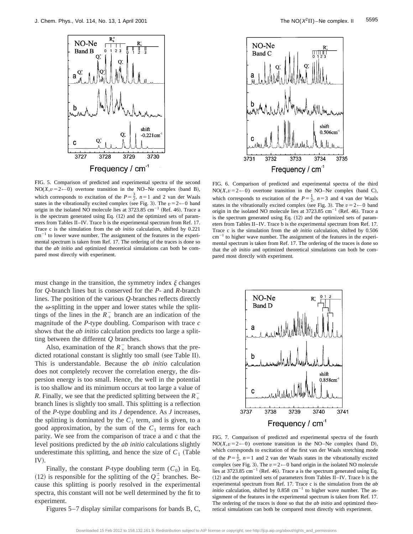

FIG. 5. Comparison of predicted and experimental spectra of the second NO( $X, v = 2 \leftarrow 0$ ) overtone transition in the NO–Ne complex (band B), which corresponds to excitation of the  $P = \frac{3}{2}$ ,  $n = 1$  and 2 van der Waals states in the vibrationally excited complex (see Fig. 3). The  $v=2 \leftarrow 0$  band origin in the isolated NO molecule lies at  $3723.85$  cm<sup>-1</sup> (Ref. 46). Trace a is the spectrum generated using Eq.  $(12)$  and the optimized sets of parameters from Tables II–IV. Trace b is the experimental spectrum from Ref. 17. Trace c is the simulation from the *ab initio* calculation, shifted by 0.221  $cm^{-1}$  to lower wave number. The assignment of the features in the experimental spectrum is taken from Ref. 17. The ordering of the traces is done so that the *ab initio* and optimized theoretical simulations can both be compared most directly with experiment.

must change in the transition, the symmetry index  $\xi$  changes for *Q*-branch lines but is conserved for the *P*- and *R*-branch lines. The position of the various *Q*-branches reflects directly the  $\omega$ -splitting in the upper and lower states while the splittings of the lines in the  $R_+^-$  branch are an indication of the magnitude of the *P*-type doubling. Comparison with trace *c* shows that the *ab initio* calculation predicts too large a splitting between the different *Q* branches.

Also, examination of the  $R_+^-$  branch shows that the predicted rotational constant is slightly too small (see Table II). This is understandable. Because the *ab initio* calculation does not completely recover the correlation energy, the dispersion energy is too small. Hence, the well in the potential is too shallow and its minimum occurs at too large a value of *R*. Finally, we see that the predicted splitting between the  $R_+$ branch lines is slightly too small. This splitting is a reflection of the *P*-type doubling and its *J* dependence. As *J* increases, the splitting is dominated by the  $C_1$  term, and is given, to a good approximation, by the sum of the  $C_1$  terms for each parity. We see from the comparison of trace a and c that the level positions predicted by the *ab initio* calculations slightly underestimate this splitting, and hence the size of  $C_1$  (Table  $IV$ ).

Finally, the constant *P*-type doubling term  $(C_0)$  in Eq. (12) is responsible for the splitting of the  $Q^{\pm}$  branches. Because this splitting is poorly resolved in the experimental spectra, this constant will not be well determined by the fit to experiment.

Figures 5–7 display similar comparisons for bands B, C,



FIG. 6. Comparison of predicted and experimental spectra of the third  $NO(X, v=2 \leftarrow 0)$  overtone transition in the NO–Ne complex (band C), which corresponds to excitation of the  $P = \frac{1}{2}$ ,  $n = 3$  and 4 van der Waals states in the vibrationally excited complex (see Fig. 3). The  $v=2 \leftarrow 0$  band origin in the isolated NO molecule lies at  $3723.85$  cm<sup>-1</sup> (Ref. 46). Trace a is the spectrum generated using Eq.  $(12)$  and the optimized sets of parameters from Tables II–IV. Trace b is the experimental spectrum from Ref. 17. Trace c is the simulation from the *ab initio* calculation, shifted by 0.506  $cm<sup>-1</sup>$  to higher wave number. The assignment of the features in the experimental spectrum is taken from Ref. 17. The ordering of the traces is done so that the *ab initio* and optimized theoretical simulations can both be compared most directly with experiment.



FIG. 7. Comparison of predicted and experimental spectra of the fourth  $NO(X, v=2 \leftarrow 0)$  overtone transition in the NO–Ne complex (band D), which corresponds to excitation of the first van der Waals stretching mode of the  $P = \frac{1}{2}$ ,  $n = 1$  and 2 van der Waals states in the vibrationally excited complex (see Fig. 3). The  $v = 2 \leftarrow 0$  band origin in the isolated NO molecule lies at 3723.85 cm<sup>-1</sup> (Ref. 46). Trace a is the spectrum generated using Eq.  $(12)$  and the optimized sets of parameters from Tables II–IV. Trace b is the experimental spectrum from Ref. 17. Trace c is the simulation from the *ab initio* calculation, shifted by  $0.858 \text{ cm}^{-1}$  to higher wave number. The assignment of the features in the experimental spectrum is taken from Ref. 17. The ordering of the traces is done so that the *ab initio* and optimized theoretical simulations can both be compared most directly with experiment.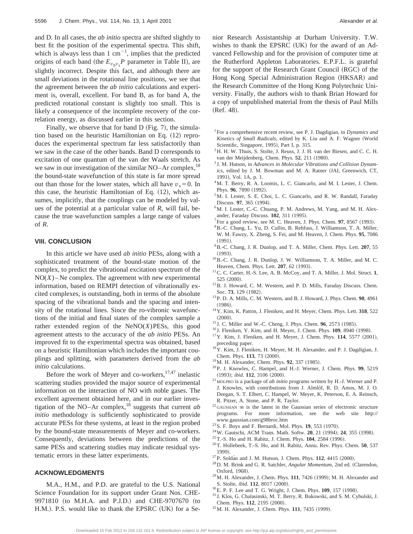and D. In all cases, the *ab initio* spectra are shifted slightly to best fit the position of the experimental spectra. This shift, which is always less than 1  $cm^{-1}$ , implies that the predicted origins of each band (the  $E_{v_b v_s} P$  parameter in Table II), are slightly incorrect. Despite this fact, and although there are small deviations in the rotational line positions, we see that the agreement between the *ab initio* calculations and experiment is, overall, excellent. For band B, as for band A, the predicted rotational constant is slightly too small. This is likely a consequence of the incomplete recovery of the correlation energy, as discussed earlier in this section.

Finally, we observe that for band  $D$  (Fig. 7), the simulation based on the heuristic Hamiltonian on Eq.  $(12)$  reproduces the experimental spectrum far less satisfactorily than we saw in the case of the other bands. Band D corresponds to excitation of one quantum of the van der Waals stretch. As we saw in our investigation of the similar  $NO-Ar$  complex,  $^{18}$ the bound-state wavefunction of this state is far more spread out than those for the lower states, which all have  $v_s = 0$ . In this case, the heuristic Hamiltonian of Eq.  $(12)$ , which assumes, implicitly, that the couplings can be modeled by values of the potential at a particular value of *R*, will fail, because the true wavefunction samples a large range of values of *R*.

#### **VIII. CONCLUSION**

In this article we have used *ab initio* PESs, along with a sophisticated treatment of the bound-state motion of the complex, to predict the vibrational excitation spectrum of the  $NO(X)$  – Ne complex. The agreement with new experimental information, based on REMPI detection of vibrationally excited complexes, is outstanding, both in terms of the absolute spacing of the vibrational bands and the spacing and intensity of the rotational lines. Since the ro-vibronic wavefunctions of the initial and final states of the complex sample a rather extended region of the NeNO(*X*)PESs, this good agreement attests to the accuracy of the *ab initio* PESs. An improved fit to the experimental spectra was obtained, based on a heuristic Hamiltonian which includes the important couplings and splitting, with parameters derived from the *ab initio* calculations.

Before the work of Meyer and co-workers,  $17,47$  inelastic scattering studies provided the major source of experimental information on the interaction of NO with noble gases. The excellent agreement obtained here, and in our earlier investigation of the NO–Ar complex,18 suggests that current *ab initio* methodology is sufficiently sophisticated to provide accurate PESs for these systems, at least in the region probed by the bound-state measurements of Meyer and co-workers. Consequently, deviations between the predictions of the same PESs and scattering studies may indicate residual systematic errors in these latter experiments.

#### **ACKNOWLEDGMENTS**

M.A., H.M., and P.D. are grateful to the U.S. National Science Foundation for its support under Grant Nos. CHE-9971810 (to M.H.A. and P.J.D.) and CHE-9707670 (to H.M.). P.S. would like to thank the EPSRC (UK) for a Senior Research Assistantship at Durham University. T.W. wishes to thank the EPSRC  $(UK)$  for the award of an Advanced Fellowship and for the provision of computer time at the Rutherford Appleton Laboratories. E.P.F.L. is grateful for the support of the Research Grant Council (RGC) of the Hong Kong Special Administration Region (HKSAR) and the Research Committee of the Hong Kong Polytechnic University. Finally, the authors wish to thank Brian Howard for a copy of unpublished material from the thesis of Paul Mills  $(Ref. 48).$ 

- 1For a comprehensive recent review, see P. J. Dagdigian, in *Dynamics and Kinetics of Small Radicals*, edited by K. Liu and A. F. Wagner (World Scientific, Singapore, 1995), Part I, p. 315.
- <sup>2</sup>H. H. W. Thuis, S. Stolte, J. Reuss, J. J. H. van der Biesen, and C. C. H. van der Meijdenberg, Chem. Phys. 52, 211 (1980).
- <sup>3</sup> J. M. Hutson, in *Advances in Molecular Vibrations and Collision Dynam*ics, edited by J. M. Bowman and M. A. Ratner (JAI, Greenwich, CT, 1991), Vol. 1A, p. 1.
- <sup>4</sup>M. T. Berry, R. A. Loomis, L. C. Giancarlo, and M. I. Lester, J. Chem. Phys. 96, 7890 (1992).
- 5M. I. Lester, S. E. Choi, L. C. Giancarlo, and R. W. Randall, Faraday Discuss. 97, 365 (1994).
- <sup>6</sup>M. I. Lester, C.-C. Chuang, P. M. Andrews, M. Yang, and M. H. Alexander, Faraday Discuss. **102**, 311 (1995).
- $^7$ For a good review, see M. C. Heaven, J. Phys. Chem. **97**, 8567 (1993).
- 8B.-C. Chang, L. Yu, D. Cullin, B. Rehfuss, J. Williamson, T. A. Miller, W. M. Fawzy, X. Zheng, S. Fei, and M. Heaven, J. Chem. Phys. **95**, 7086  $(1991).$
- 9B.-C. Chang, J. R. Dunlop, and T. A. Miller, Chem. Phys. Lett. **207**, 55  $(1993).$
- 10B.-C. Chang, J. R. Dunlop, J. W. Williamson, T. A. Miller, and M. C. Heaven, Chem. Phys. Lett. 207, 62 (1993).
- 11C. C. Carter, H.-S. Lee, A. B. McCoy, and T. A. Miller, J. Mol. Struct. **1**, 525 (2000).
- 12B. J. Howard, C. M. Western, and P. D. Mills, Faraday Discuss. Chem. Soc. 73, 129 (1982).
- 13P. D. A. Mills, C. M. Western, and B. J. Howard, J. Phys. Chem. **90**, 4961  $(1986).$
- 14Y. Kim, K. Patton, J. Fleniken, and H. Meyer, Chem. Phys. Lett. **318**, 522  $(2000)$ .
- <sup>15</sup> J. C. Miller and W.-C. Cheng, J. Phys. Chem. **96**, 2573 (1985).
- <sup>16</sup> J. Fleniken, Y. Kim, and H. Meyer, J. Chem. Phys. **109**, 8940 (1998).
- <sup>17</sup> Y. Kim, J. Fleniken, and H. Meyer, J. Chem. Phys. **114**, 5577 (2001), preceding paper.
- 18Y. Kim, J. Fleniken, H. Meyer, M. H. Alexander, and P. J. Dagdigian, J. Chem. Phys. 113, 73 (2000).
- <sup>19</sup> M. H. Alexander, Chem. Phys. **92**, 337 (1985).
- 20P. J. Knowles, C. Hampel, and H.-J. Werner, J. Chem. Phys. **99**, 5219 (1993); *ibid.* **112**, 3106 (2000).
- <sup>21</sup> MOLPRO is a package of *ab initio* programs written by H.-J. Werner and P. J. Knowles, with contributions from J. Almlöf, R. D. Amos, M. J. O. Deegan, S. T. Elbert, C. Hampel, W. Meyer, K. Peterson, E. A. Reinsch, R. Pitzer, A. Stone, and P. R. Taylor.
- <sup>22</sup> GAUSSIAN 98 is the latest in the Gaussian series of electronic structure programs. For more information, see the web site http:// www.gaussian.com/g98broc.htm
- <sup>23</sup> S. F. Boys and F. Bernardi, Mol. Phys. **19**, 553 (1970).
- <sup>24</sup> W. Gautschi, ACM Trans. Math. Softw. **20**, 21 (1994); **24**, 355 (1998).
- <sup>25</sup> T.-S. Ho and H. Rabitz, J. Chem. Phys. **104**, 2584 (1996).
- 26T. Hollebeek, T.-S. Ho, and H. Rabitz, Annu. Rev. Phys. Chem. **50**, 537 1999).
- $^{27}$ P. Soldan and J. M. Hutson, J. Chem. Phys. 112, 4415 (2000).
- <sup>28</sup> D. M. Brink and G. R. Satchler, *Angular Momentum*, 2nd ed. (Clarendon, Oxford, 1968).
- <sup>29</sup> M. H. Alexander, J. Chem. Phys. **111**, 7426 (1999); M. H. Alexander and S. Stolte, *ibid.* **112**, 8017 (2000).
- <sup>30</sup> E. P. F. Lee and T. G. Wright, J. Chem. Phys. **109**, 157 (1998).
- <sup>31</sup> J. Klos, G. Chalasinski, M. T. Berry, R. Bukowski, and S. M. Cybulski, J. Chem. Phys. 112, 2195 (2000).
- <sup>32</sup> M. H. Alexander, J. Chem. Phys. **111**, 7435 (1999).